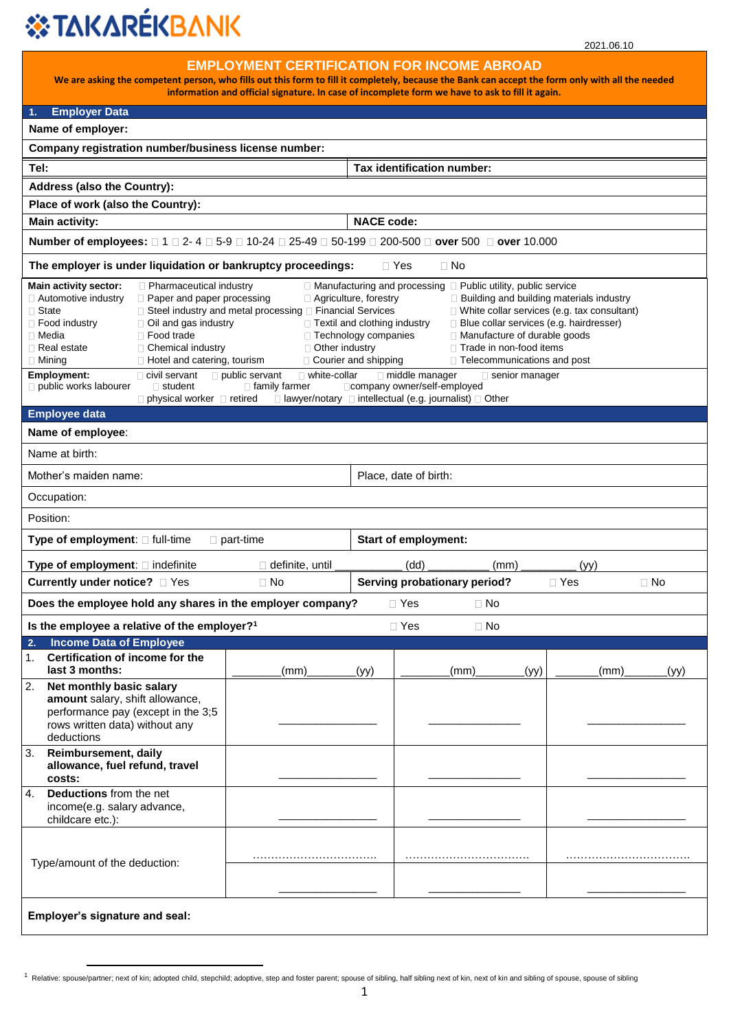## *S***TAKARÉKBANK**

 $\overline{\phantom{a}}$ 

| <b>EMPLOYMENT CERTIFICATION FOR INCOME ABROAD</b><br>We are asking the competent person, who fills out this form to fill it completely, because the Bank can accept the form only with all the needed<br>information and official signature. In case of incomplete form we have to ask to fill it again.                                                                                                                                                                                                                                                                                                                                                                                                                                                                                                                                                                                                                                                                                                                                                                  |                                                                                                   |                                                          |           |              |      |           |
|---------------------------------------------------------------------------------------------------------------------------------------------------------------------------------------------------------------------------------------------------------------------------------------------------------------------------------------------------------------------------------------------------------------------------------------------------------------------------------------------------------------------------------------------------------------------------------------------------------------------------------------------------------------------------------------------------------------------------------------------------------------------------------------------------------------------------------------------------------------------------------------------------------------------------------------------------------------------------------------------------------------------------------------------------------------------------|---------------------------------------------------------------------------------------------------|----------------------------------------------------------|-----------|--------------|------|-----------|
| <b>Employer Data</b><br>1.                                                                                                                                                                                                                                                                                                                                                                                                                                                                                                                                                                                                                                                                                                                                                                                                                                                                                                                                                                                                                                                |                                                                                                   |                                                          |           |              |      |           |
| Name of employer:                                                                                                                                                                                                                                                                                                                                                                                                                                                                                                                                                                                                                                                                                                                                                                                                                                                                                                                                                                                                                                                         |                                                                                                   |                                                          |           |              |      |           |
| Company registration number/business license number:                                                                                                                                                                                                                                                                                                                                                                                                                                                                                                                                                                                                                                                                                                                                                                                                                                                                                                                                                                                                                      |                                                                                                   |                                                          |           |              |      |           |
| Tel:                                                                                                                                                                                                                                                                                                                                                                                                                                                                                                                                                                                                                                                                                                                                                                                                                                                                                                                                                                                                                                                                      |                                                                                                   | Tax identification number:                               |           |              |      |           |
| <b>Address (also the Country):</b>                                                                                                                                                                                                                                                                                                                                                                                                                                                                                                                                                                                                                                                                                                                                                                                                                                                                                                                                                                                                                                        |                                                                                                   |                                                          |           |              |      |           |
| Place of work (also the Country):                                                                                                                                                                                                                                                                                                                                                                                                                                                                                                                                                                                                                                                                                                                                                                                                                                                                                                                                                                                                                                         |                                                                                                   |                                                          |           |              |      |           |
| <b>Main activity:</b>                                                                                                                                                                                                                                                                                                                                                                                                                                                                                                                                                                                                                                                                                                                                                                                                                                                                                                                                                                                                                                                     |                                                                                                   | <b>NACE code:</b>                                        |           |              |      |           |
|                                                                                                                                                                                                                                                                                                                                                                                                                                                                                                                                                                                                                                                                                                                                                                                                                                                                                                                                                                                                                                                                           | Number of employees: □ 1 □ 2- 4 □ 5-9 □ 10-24 □ 25-49 □ 50-199 □ 200-500 □ over 500 □ over 10.000 |                                                          |           |              |      |           |
| The employer is under liquidation or bankruptcy proceedings:                                                                                                                                                                                                                                                                                                                                                                                                                                                                                                                                                                                                                                                                                                                                                                                                                                                                                                                                                                                                              |                                                                                                   | $\sqcap$ Yes                                             | $\Box$ No |              |      |           |
| Main activity sector:<br>Pharmaceutical industry<br>□ Manufacturing and processing □ Public utility, public service<br>□ Building and building materials industry<br>□ Automotive industry<br><b>Paper and paper processing</b><br>□ Agriculture, forestry<br>□ Steel industry and metal processing □ Financial Services<br>□ White collar services (e.g. tax consultant)<br>$\Box$ State<br>Blue collar services (e.g. hairdresser)<br>$\Box$ Oil and gas industry<br>□ Textil and clothing industry<br>$\Box$ Food industry<br>□ Manufacture of durable goods<br>□ Food trade<br>□ Technology companies<br>$\Box$ Media<br>Other industry<br>$\Box$ Trade in non-food items<br>Chemical industry<br>$\Box$ Real estate<br>□ Courier and shipping<br>□ Telecommunications and post<br>$\Box$ Mining<br>$\Box$ Hotel and catering, tourism<br>public servant<br>$\Box$ white-collar<br>middle manager<br><b>Employment:</b><br>civil servant<br>$\Box$ senior manager<br>public works labourer<br>□ company owner/self-employed<br>$\Box$ student<br>$\Box$ family farmer |                                                                                                   |                                                          |           |              |      |           |
| $\Box$ physical worker $\Box$ retired<br><b>Employee data</b>                                                                                                                                                                                                                                                                                                                                                                                                                                                                                                                                                                                                                                                                                                                                                                                                                                                                                                                                                                                                             |                                                                                                   | □ lawyer/notary □ intellectual (e.g. journalist) □ Other |           |              |      |           |
| Name of employee:                                                                                                                                                                                                                                                                                                                                                                                                                                                                                                                                                                                                                                                                                                                                                                                                                                                                                                                                                                                                                                                         |                                                                                                   |                                                          |           |              |      |           |
| Name at birth:                                                                                                                                                                                                                                                                                                                                                                                                                                                                                                                                                                                                                                                                                                                                                                                                                                                                                                                                                                                                                                                            |                                                                                                   |                                                          |           |              |      |           |
| Mother's maiden name:                                                                                                                                                                                                                                                                                                                                                                                                                                                                                                                                                                                                                                                                                                                                                                                                                                                                                                                                                                                                                                                     | Place, date of birth:                                                                             |                                                          |           |              |      |           |
| Occupation:                                                                                                                                                                                                                                                                                                                                                                                                                                                                                                                                                                                                                                                                                                                                                                                                                                                                                                                                                                                                                                                               |                                                                                                   |                                                          |           |              |      |           |
| Position:                                                                                                                                                                                                                                                                                                                                                                                                                                                                                                                                                                                                                                                                                                                                                                                                                                                                                                                                                                                                                                                                 |                                                                                                   |                                                          |           |              |      |           |
| Type of employment: [ full-time                                                                                                                                                                                                                                                                                                                                                                                                                                                                                                                                                                                                                                                                                                                                                                                                                                                                                                                                                                                                                                           | <b>Start of employment:</b><br>$\Box$ part-time                                                   |                                                          |           |              |      |           |
| Type of employment: I indefinite                                                                                                                                                                                                                                                                                                                                                                                                                                                                                                                                                                                                                                                                                                                                                                                                                                                                                                                                                                                                                                          | definite, until                                                                                   | (dd)                                                     | (mm)      |              | (yy) |           |
| <b>Currently under notice?</b> □ Yes                                                                                                                                                                                                                                                                                                                                                                                                                                                                                                                                                                                                                                                                                                                                                                                                                                                                                                                                                                                                                                      | $\Box$ No                                                                                         | Serving probationary period?                             |           | $\sqcap$ Yes |      | $\Box$ No |
| Does the employee hold any shares in the employer company?                                                                                                                                                                                                                                                                                                                                                                                                                                                                                                                                                                                                                                                                                                                                                                                                                                                                                                                                                                                                                |                                                                                                   | $\Box$ Yes                                               | $\Box$ No |              |      |           |
| Is the employee a relative of the employer? <sup>1</sup>                                                                                                                                                                                                                                                                                                                                                                                                                                                                                                                                                                                                                                                                                                                                                                                                                                                                                                                                                                                                                  |                                                                                                   | $\Box$ Yes                                               | $\Box$ No |              |      |           |
| <b>Income Data of Employee</b><br>2.                                                                                                                                                                                                                                                                                                                                                                                                                                                                                                                                                                                                                                                                                                                                                                                                                                                                                                                                                                                                                                      |                                                                                                   |                                                          |           |              |      |           |
| Certification of income for the<br>1.<br>last 3 months:                                                                                                                                                                                                                                                                                                                                                                                                                                                                                                                                                                                                                                                                                                                                                                                                                                                                                                                                                                                                                   | (mm)                                                                                              | (yy)                                                     | (mm)      | (yy)         | (mm) | (уу)      |
| 2.<br>Net monthly basic salary<br>amount salary, shift allowance,<br>performance pay (except in the 3;5<br>rows written data) without any<br>deductions                                                                                                                                                                                                                                                                                                                                                                                                                                                                                                                                                                                                                                                                                                                                                                                                                                                                                                                   |                                                                                                   |                                                          |           |              |      |           |
| 3.<br>Reimbursement, daily<br>allowance, fuel refund, travel<br>costs:                                                                                                                                                                                                                                                                                                                                                                                                                                                                                                                                                                                                                                                                                                                                                                                                                                                                                                                                                                                                    |                                                                                                   |                                                          |           |              |      |           |
| 4.<br>Deductions from the net<br>income(e.g. salary advance,<br>childcare etc.):                                                                                                                                                                                                                                                                                                                                                                                                                                                                                                                                                                                                                                                                                                                                                                                                                                                                                                                                                                                          |                                                                                                   |                                                          |           |              |      |           |
| Type/amount of the deduction:                                                                                                                                                                                                                                                                                                                                                                                                                                                                                                                                                                                                                                                                                                                                                                                                                                                                                                                                                                                                                                             |                                                                                                   |                                                          |           |              |      |           |
| Employer's signature and seal:                                                                                                                                                                                                                                                                                                                                                                                                                                                                                                                                                                                                                                                                                                                                                                                                                                                                                                                                                                                                                                            |                                                                                                   |                                                          |           |              |      |           |

<sup>&</sup>lt;sup>1</sup> Relative: spouse/partner; next of kin; adopted child, stepchild; adoptive, step and foster parent; spouse of sibling, half sibling next of kin, next of kin and sibling of spouse, spouse of sibling